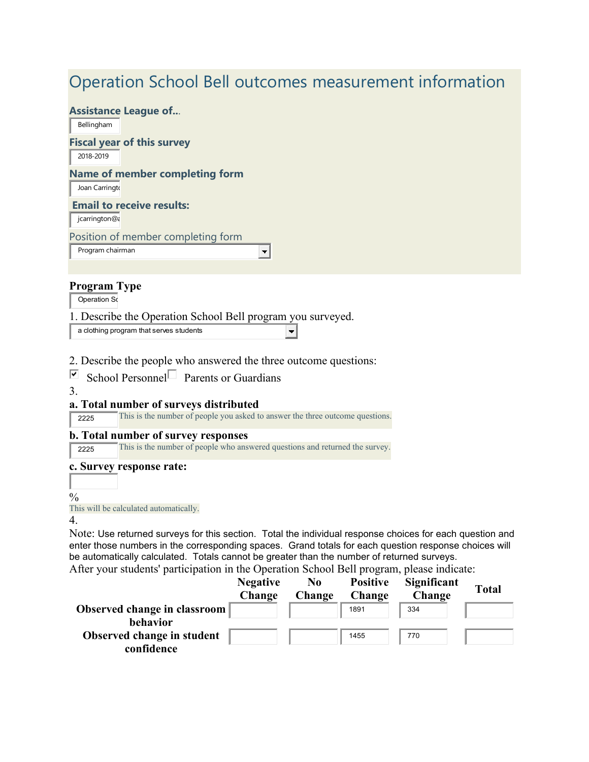# Operation School Bell outcomes measurement information

 $\left| \rule{0pt}{10pt} \right.$ 

 $\left| \cdot \right|$ 

#### **Assistance League of..**.

Bellingham

## **Fiscal year of this survey**

2018-2019

## **Name of member completing form**

Joan Carringto

## **Email to receive results:**

jcarrington@a

Position of member completing form

Program chairman

## **Program Type**

Operation Sc

1. Describe the Operation School Bell program you surveyed.

a clothing program that serves students

2. Describe the people who answered the three outcome questions:

 $\Box$  School Personnel Parents or Guardians

3.

## **a. Total number of surveys distributed**

<sup>2225</sup> This is the number of people you asked to answer the three outcome questions.

#### **b. Total number of survey responses**

<sup>2225</sup> This is the number of people who answered questions and returned the survey.

#### **c. Survey response rate:**

 $\frac{0}{0}$ 

This will be calculated automatically.

4.

Note: Use returned surveys for this section. Total the individual response choices for each question and enter those numbers in the corresponding spaces. Grand totals for each question response choices will be automatically calculated. Totals cannot be greater than the number of returned surveys.

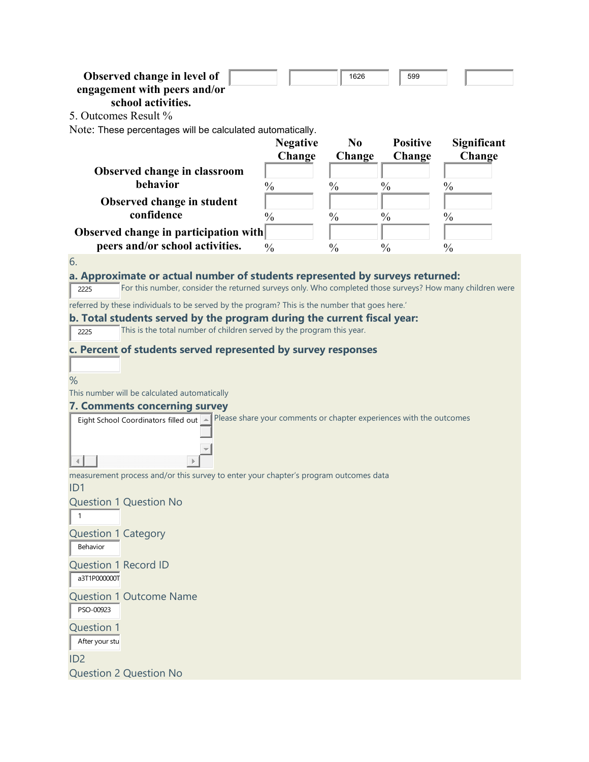| Observed change in level of<br>engagement with peers and/or<br>school activities.<br>5. Outcomes Result %<br>Note: These percentages will be calculated automatically.                                                                                                                                                                                                                                                                                                                                                          |                           | 1626                     | 599                       |                       |
|---------------------------------------------------------------------------------------------------------------------------------------------------------------------------------------------------------------------------------------------------------------------------------------------------------------------------------------------------------------------------------------------------------------------------------------------------------------------------------------------------------------------------------|---------------------------|--------------------------|---------------------------|-----------------------|
|                                                                                                                                                                                                                                                                                                                                                                                                                                                                                                                                 | <b>Negative</b><br>Change | N <sub>0</sub><br>Change | <b>Positive</b><br>Change | Significant<br>Change |
| Observed change in classroom<br>behavior                                                                                                                                                                                                                                                                                                                                                                                                                                                                                        | $\frac{0}{0}$             | $\frac{0}{0}$            | $\frac{0}{0}$             | $\frac{0}{0}$         |
| Observed change in student<br>confidence                                                                                                                                                                                                                                                                                                                                                                                                                                                                                        | $\frac{0}{0}$             | $\frac{0}{0}$            | $\frac{0}{0}$             | $\frac{0}{0}$         |
| Observed change in participation with<br>peers and/or school activities.                                                                                                                                                                                                                                                                                                                                                                                                                                                        | $\frac{0}{0}$             | $\frac{0}{0}$            | $\frac{0}{0}$             | $\frac{0}{0}$         |
| a. Approximate or actual number of students represented by surveys returned:<br>For this number, consider the returned surveys only. Who completed those surveys? How many children were<br>2225<br>referred by these individuals to be served by the program? This is the number that goes here.'<br>b. Total students served by the program during the current fiscal year:<br>This is the total number of children served by the program this year.<br>2225<br>c. Percent of students served represented by survey responses |                           |                          |                           |                       |
| %<br>This number will be calculated automatically<br><b>7. Comments concerning survey</b><br>Eight School Coordinators filled out   Please share your comments or chapter experiences with the outcomes                                                                                                                                                                                                                                                                                                                         |                           |                          |                           |                       |
| measurement process and/or this survey to enter your chapter's program outcomes data<br>ID <sub>1</sub>                                                                                                                                                                                                                                                                                                                                                                                                                         |                           |                          |                           |                       |
| <b>Question 1 Question No</b><br>$\mathbf{1}$                                                                                                                                                                                                                                                                                                                                                                                                                                                                                   |                           |                          |                           |                       |
| <b>Question 1 Category</b><br>Behavior                                                                                                                                                                                                                                                                                                                                                                                                                                                                                          |                           |                          |                           |                       |
| <b>Question 1 Record ID</b><br>a3T1P000000T                                                                                                                                                                                                                                                                                                                                                                                                                                                                                     |                           |                          |                           |                       |
| <b>Question 1 Outcome Name</b><br>PSO-00923<br><b>Question 1</b><br>After your stu<br>ID <sub>2</sub><br><b>Question 2 Question No</b>                                                                                                                                                                                                                                                                                                                                                                                          |                           |                          |                           |                       |